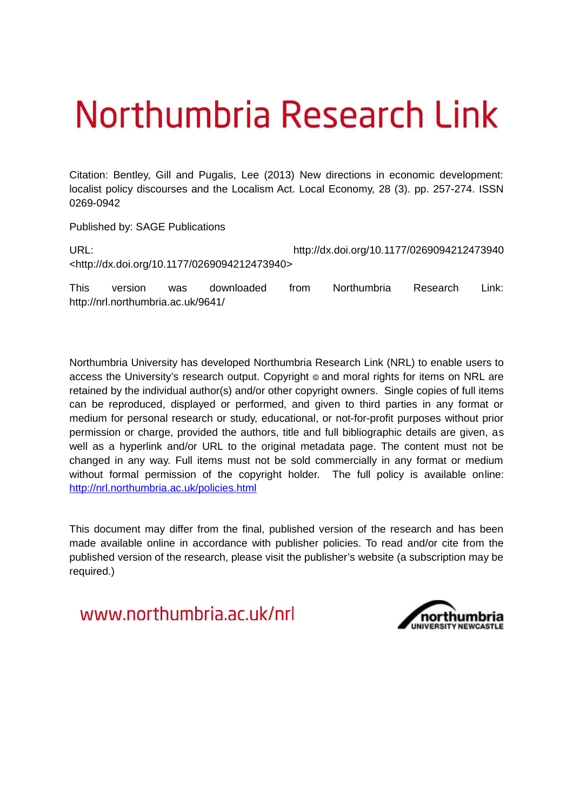# Northumbria Research Link

Citation: Bentley, Gill and Pugalis, Lee (2013) New directions in economic development: localist policy discourses and the Localism Act. Local Economy, 28 (3). pp. 257-274. ISSN 0269-0942

Published by: SAGE Publications

| URL:                                                         | http://dx.doi.org/10.1177/0269094212473940 |
|--------------------------------------------------------------|--------------------------------------------|
| <http: 0269094212473940="" 10.1177="" dx.doi.org=""></http:> |                                            |

This version was downloaded from Northumbria Research Link: http://nrl.northumbria.ac.uk/9641/

Northumbria University has developed Northumbria Research Link (NRL) to enable users to access the University's research output. Copyright  $\circ$  and moral rights for items on NRL are retained by the individual author(s) and/or other copyright owners. Single copies of full items can be reproduced, displayed or performed, and given to third parties in any format or medium for personal research or study, educational, or not-for-profit purposes without prior permission or charge, provided the authors, title and full bibliographic details are given, as well as a hyperlink and/or URL to the original metadata page. The content must not be changed in any way. Full items must not be sold commercially in any format or medium without formal permission of the copyright holder. The full policy is available online: <http://nrl.northumbria.ac.uk/policies.html>

This document may differ from the final, published version of the research and has been made available online in accordance with publisher policies. To read and/or cite from the published version of the research, please visit the publisher's website (a subscription may be required.)

www.northumbria.ac.uk/nrl

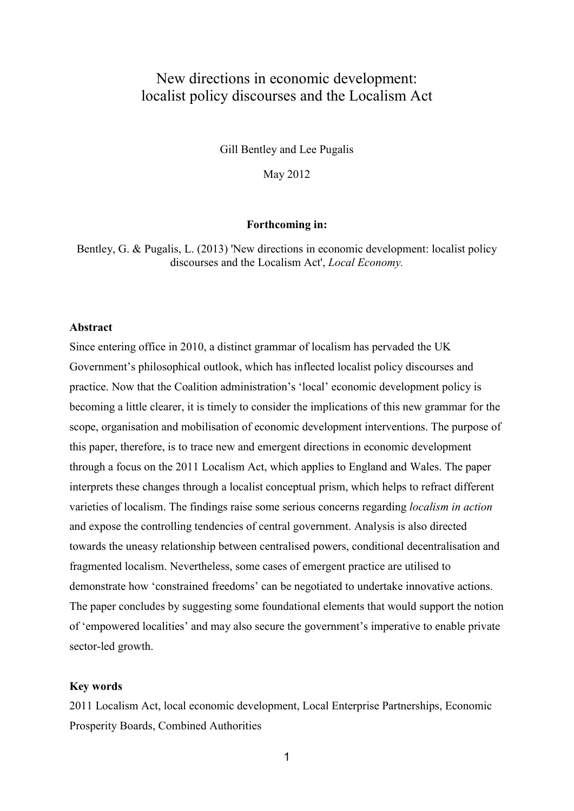# New directions in economic development: localist policy discourses and the Localism Act

Gill Bentley and Lee Pugalis

May 2012

#### **Forthcoming in:**

Bentley, G. & Pugalis, L. (2013) 'New directions in economic development: localist policy discourses and the Localism Act', *Local Economy.*

# **Abstract**

Since entering office in 2010, a distinct grammar of localism has pervaded the UK Government's philosophical outlook, which has inflected localist policy discourses and practice. Now that the Coalition administration's 'local' economic development policy is becoming a little clearer, it is timely to consider the implications of this new grammar for the scope, organisation and mobilisation of economic development interventions. The purpose of this paper, therefore, is to trace new and emergent directions in economic development through a focus on the 2011 Localism Act, which applies to England and Wales. The paper interprets these changes through a localist conceptual prism, which helps to refract different varieties of localism. The findings raise some serious concerns regarding *localism in action* and expose the controlling tendencies of central government. Analysis is also directed towards the uneasy relationship between centralised powers, conditional decentralisation and fragmented localism. Nevertheless, some cases of emergent practice are utilised to demonstrate how 'constrained freedoms' can be negotiated to undertake innovative actions. The paper concludes by suggesting some foundational elements that would support the notion of 'empowered localities' and may also secure the government's imperative to enable private sector-led growth.

#### **Key words**

2011 Localism Act, local economic development, Local Enterprise Partnerships, Economic Prosperity Boards, Combined Authorities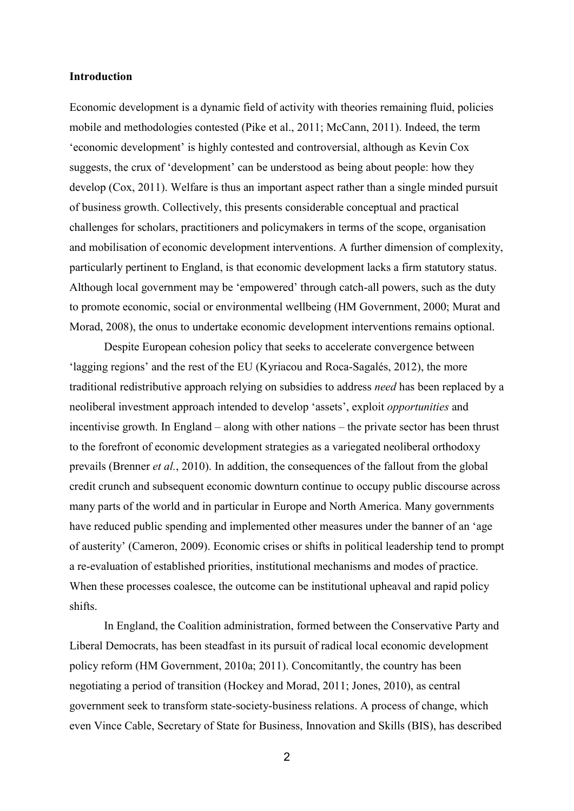# **Introduction**

Economic development is a dynamic field of activity with theories remaining fluid, policies mobile and methodologies contested (Pike et al., 2011; McCann, 2011). Indeed, the term 'economic development' is highly contested and controversial, although as Kevin Cox suggests, the crux of 'development' can be understood as being about people: how they develop (Cox, 2011). Welfare is thus an important aspect rather than a single minded pursuit of business growth. Collectively, this presents considerable conceptual and practical challenges for scholars, practitioners and policymakers in terms of the scope, organisation and mobilisation of economic development interventions. A further dimension of complexity, particularly pertinent to England, is that economic development lacks a firm statutory status. Although local government may be 'empowered' through catch-all powers, such as the duty to promote economic, social or environmental wellbeing (HM Government, 2000; Murat and Morad, 2008), the onus to undertake economic development interventions remains optional.

Despite European cohesion policy that seeks to accelerate convergence between 'lagging regions' and the rest of the EU (Kyriacou and Roca-Sagalés, 2012), the more traditional redistributive approach relying on subsidies to address *need* has been replaced by a neoliberal investment approach intended to develop 'assets', exploit *opportunities* and incentivise growth. In England – along with other nations – the private sector has been thrust to the forefront of economic development strategies as a variegated neoliberal orthodoxy prevails (Brenner *et al.*, 2010). In addition, the consequences of the fallout from the global credit crunch and subsequent economic downturn continue to occupy public discourse across many parts of the world and in particular in Europe and North America. Many governments have reduced public spending and implemented other measures under the banner of an 'age of austerity' (Cameron, 2009). Economic crises or shifts in political leadership tend to prompt a re-evaluation of established priorities, institutional mechanisms and modes of practice. When these processes coalesce, the outcome can be institutional upheaval and rapid policy shifts.

In England, the Coalition administration, formed between the Conservative Party and Liberal Democrats, has been steadfast in its pursuit of radical local economic development policy reform (HM Government, 2010a; 2011). Concomitantly, the country has been negotiating a period of transition (Hockey and Morad, 2011; Jones, 2010), as central government seek to transform state-society-business relations. A process of change, which even Vince Cable, Secretary of State for Business, Innovation and Skills (BIS), has described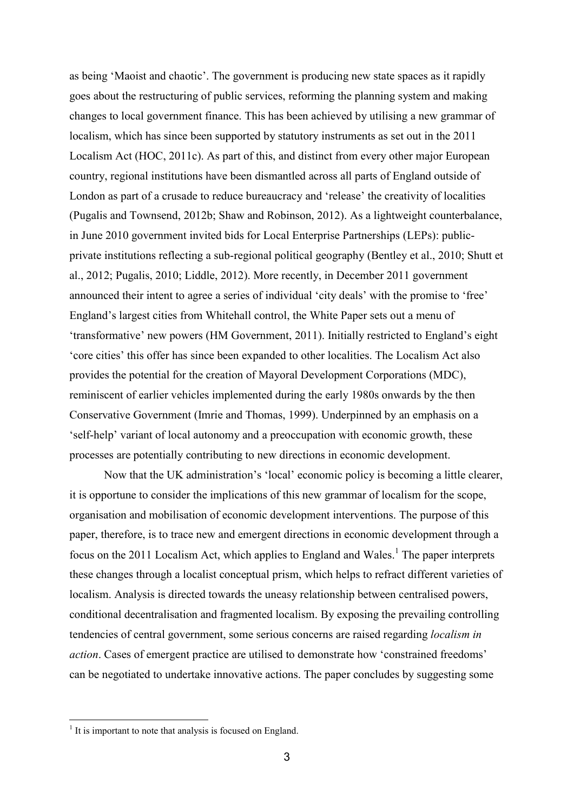as being 'Maoist and chaotic'. The government is producing new state spaces as it rapidly goes about the restructuring of public services, reforming the planning system and making changes to local government finance. This has been achieved by utilising a new grammar of localism, which has since been supported by statutory instruments as set out in the 2011 Localism Act (HOC, 2011c). As part of this, and distinct from every other major European country, regional institutions have been dismantled across all parts of England outside of London as part of a crusade to reduce bureaucracy and 'release' the creativity of localities (Pugalis and Townsend, 2012b; Shaw and Robinson, 2012). As a lightweight counterbalance, in June 2010 government invited bids for Local Enterprise Partnerships (LEPs): publicprivate institutions reflecting a sub-regional political geography (Bentley et al., 2010; Shutt et al., 2012; Pugalis, 2010; Liddle, 2012). More recently, in December 2011 government announced their intent to agree a series of individual 'city deals' with the promise to 'free' England's largest cities from Whitehall control, the White Paper sets out a menu of 'transformative' new powers (HM Government, 2011). Initially restricted to England's eight 'core cities' this offer has since been expanded to other localities. The Localism Act also provides the potential for the creation of Mayoral Development Corporations (MDC), reminiscent of earlier vehicles implemented during the early 1980s onwards by the then Conservative Government (Imrie and Thomas, 1999). Underpinned by an emphasis on a 'self-help' variant of local autonomy and a preoccupation with economic growth, these processes are potentially contributing to new directions in economic development.

Now that the UK administration's 'local' economic policy is becoming a little clearer, it is opportune to consider the implications of this new grammar of localism for the scope, organisation and mobilisation of economic development interventions. The purpose of this paper, therefore, is to trace new and emergent directions in economic development through a focus on the 2011 Localism Act, which applies to England and Wales.<sup>1</sup> The paper interprets these changes through a localist conceptual prism, which helps to refract different varieties of localism. Analysis is directed towards the uneasy relationship between centralised powers, conditional decentralisation and fragmented localism. By exposing the prevailing controlling tendencies of central government, some serious concerns are raised regarding *localism in action*. Cases of emergent practice are utilised to demonstrate how 'constrained freedoms' can be negotiated to undertake innovative actions. The paper concludes by suggesting some

 $\overline{a}$ 

<sup>&</sup>lt;sup>1</sup> It is important to note that analysis is focused on England.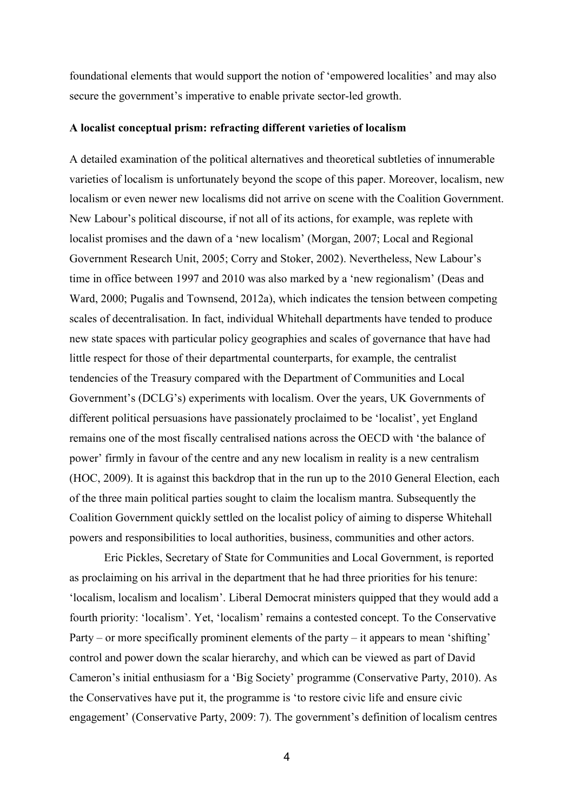foundational elements that would support the notion of 'empowered localities' and may also secure the government's imperative to enable private sector-led growth.

# **A localist conceptual prism: refracting different varieties of localism**

A detailed examination of the political alternatives and theoretical subtleties of innumerable varieties of localism is unfortunately beyond the scope of this paper. Moreover, localism, new localism or even newer new localisms did not arrive on scene with the Coalition Government. New Labour's political discourse, if not all of its actions, for example, was replete with localist promises and the dawn of a 'new localism' (Morgan, 2007; Local and Regional Government Research Unit, 2005; Corry and Stoker, 2002). Nevertheless, New Labour's time in office between 1997 and 2010 was also marked by a 'new regionalism' (Deas and Ward, 2000; Pugalis and Townsend, 2012a), which indicates the tension between competing scales of decentralisation. In fact, individual Whitehall departments have tended to produce new state spaces with particular policy geographies and scales of governance that have had little respect for those of their departmental counterparts, for example, the centralist tendencies of the Treasury compared with the Department of Communities and Local Government's (DCLG's) experiments with localism. Over the years, UK Governments of different political persuasions have passionately proclaimed to be 'localist', yet England remains one of the most fiscally centralised nations across the OECD with 'the balance of power' firmly in favour of the centre and any new localism in reality is a new centralism (HOC, 2009). It is against this backdrop that in the run up to the 2010 General Election, each of the three main political parties sought to claim the localism mantra. Subsequently the Coalition Government quickly settled on the localist policy of aiming to disperse Whitehall powers and responsibilities to local authorities, business, communities and other actors.

Eric Pickles, Secretary of State for Communities and Local Government, is reported as proclaiming on his arrival in the department that he had three priorities for his tenure: 'localism, localism and localism'. Liberal Democrat ministers quipped that they would add a fourth priority: 'localism'. Yet, 'localism' remains a contested concept. To the Conservative Party – or more specifically prominent elements of the party – it appears to mean 'shifting' control and power down the scalar hierarchy, and which can be viewed as part of David Cameron's initial enthusiasm for a 'Big Society' programme (Conservative Party, 2010). As the Conservatives have put it, the programme is 'to restore civic life and ensure civic engagement' (Conservative Party, 2009: 7). The government's definition of localism centres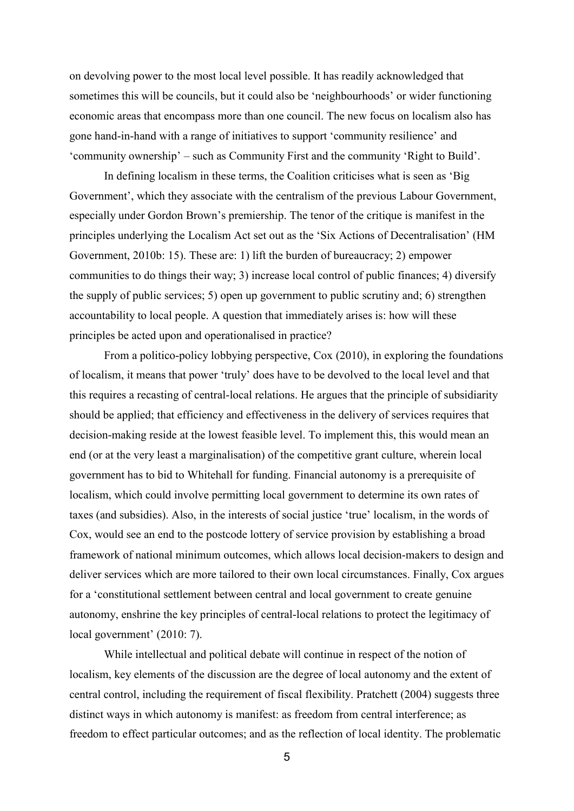on devolving power to the most local level possible. It has readily acknowledged that sometimes this will be councils, but it could also be 'neighbourhoods' or wider functioning economic areas that encompass more than one council. The new focus on localism also has gone hand-in-hand with a range of initiatives to support 'community resilience' and 'community ownership' – such as Community First and the community 'Right to Build'.

In defining localism in these terms, the Coalition criticises what is seen as 'Big Government', which they associate with the centralism of the previous Labour Government, especially under Gordon Brown's premiership. The tenor of the critique is manifest in the principles underlying the Localism Act set out as the 'Six Actions of Decentralisation' (HM Government, 2010b: 15). These are: 1) lift the burden of bureaucracy; 2) empower communities to do things their way; 3) increase local control of public finances; 4) diversify the supply of public services; 5) open up government to public scrutiny and; 6) strengthen accountability to local people. A question that immediately arises is: how will these principles be acted upon and operationalised in practice?

From a politico-policy lobbying perspective, Cox (2010), in exploring the foundations of localism, it means that power 'truly' does have to be devolved to the local level and that this requires a recasting of central-local relations. He argues that the principle of subsidiarity should be applied; that efficiency and effectiveness in the delivery of services requires that decision-making reside at the lowest feasible level. To implement this, this would mean an end (or at the very least a marginalisation) of the competitive grant culture, wherein local government has to bid to Whitehall for funding. Financial autonomy is a prerequisite of localism, which could involve permitting local government to determine its own rates of taxes (and subsidies). Also, in the interests of social justice 'true' localism, in the words of Cox, would see an end to the postcode lottery of service provision by establishing a broad framework of national minimum outcomes, which allows local decision-makers to design and deliver services which are more tailored to their own local circumstances. Finally, Cox argues for a 'constitutional settlement between central and local government to create genuine autonomy, enshrine the key principles of central-local relations to protect the legitimacy of local government' (2010: 7).

While intellectual and political debate will continue in respect of the notion of localism, key elements of the discussion are the degree of local autonomy and the extent of central control, including the requirement of fiscal flexibility. Pratchett (2004) suggests three distinct ways in which autonomy is manifest: as freedom from central interference; as freedom to effect particular outcomes; and as the reflection of local identity. The problematic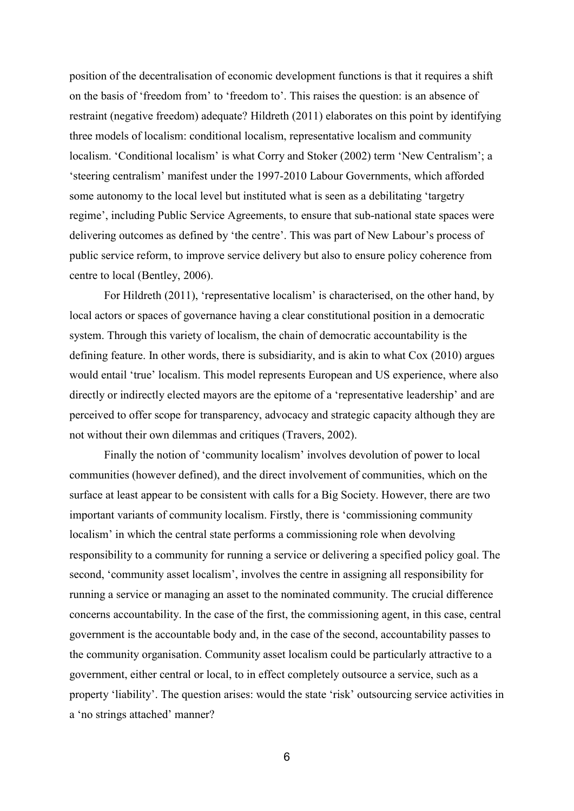position of the decentralisation of economic development functions is that it requires a shift on the basis of 'freedom from' to 'freedom to'. This raises the question: is an absence of restraint (negative freedom) adequate? Hildreth (2011) elaborates on this point by identifying three models of localism: conditional localism, representative localism and community localism. 'Conditional localism' is what Corry and Stoker (2002) term 'New Centralism'; a 'steering centralism' manifest under the 1997-2010 Labour Governments, which afforded some autonomy to the local level but instituted what is seen as a debilitating 'targetry regime', including Public Service Agreements, to ensure that sub-national state spaces were delivering outcomes as defined by 'the centre'. This was part of New Labour's process of public service reform, to improve service delivery but also to ensure policy coherence from centre to local (Bentley, 2006).

For Hildreth (2011), 'representative localism' is characterised, on the other hand, by local actors or spaces of governance having a clear constitutional position in a democratic system. Through this variety of localism, the chain of democratic accountability is the defining feature. In other words, there is subsidiarity, and is akin to what Cox (2010) argues would entail 'true' localism. This model represents European and US experience, where also directly or indirectly elected mayors are the epitome of a 'representative leadership' and are perceived to offer scope for transparency, advocacy and strategic capacity although they are not without their own dilemmas and critiques (Travers, 2002).

Finally the notion of 'community localism' involves devolution of power to local communities (however defined), and the direct involvement of communities, which on the surface at least appear to be consistent with calls for a Big Society. However, there are two important variants of community localism. Firstly, there is 'commissioning community localism' in which the central state performs a commissioning role when devolving responsibility to a community for running a service or delivering a specified policy goal. The second, 'community asset localism', involves the centre in assigning all responsibility for running a service or managing an asset to the nominated community. The crucial difference concerns accountability. In the case of the first, the commissioning agent, in this case, central government is the accountable body and, in the case of the second, accountability passes to the community organisation. Community asset localism could be particularly attractive to a government, either central or local, to in effect completely outsource a service, such as a property 'liability'. The question arises: would the state 'risk' outsourcing service activities in a 'no strings attached' manner?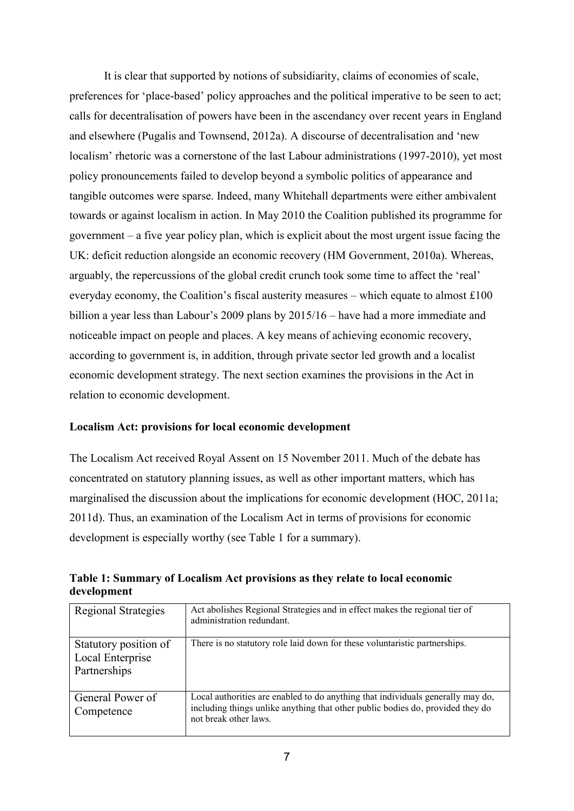It is clear that supported by notions of subsidiarity, claims of economies of scale, preferences for 'place-based' policy approaches and the political imperative to be seen to act; calls for decentralisation of powers have been in the ascendancy over recent years in England and elsewhere (Pugalis and Townsend, 2012a). A discourse of decentralisation and 'new localism' rhetoric was a cornerstone of the last Labour administrations (1997-2010), yet most policy pronouncements failed to develop beyond a symbolic politics of appearance and tangible outcomes were sparse. Indeed, many Whitehall departments were either ambivalent towards or against localism in action. In May 2010 the Coalition published its programme for government – a five year policy plan, which is explicit about the most urgent issue facing the UK: deficit reduction alongside an economic recovery (HM Government, 2010a). Whereas, arguably, the repercussions of the global credit crunch took some time to affect the 'real' everyday economy, the Coalition's fiscal austerity measures – which equate to almost £100 billion a year less than Labour's 2009 plans by 2015/16 – have had a more immediate and noticeable impact on people and places. A key means of achieving economic recovery, according to government is, in addition, through private sector led growth and a localist economic development strategy. The next section examines the provisions in the Act in relation to economic development.

# **Localism Act: provisions for local economic development**

The Localism Act received Royal Assent on 15 November 2011. Much of the debate has concentrated on statutory planning issues, as well as other important matters, which has marginalised the discussion about the implications for economic development (HOC, 2011a; 2011d). Thus, an examination of the Localism Act in terms of provisions for economic development is especially worthy (see Table 1 for a summary).

| Regional Strategies                                       | Act abolishes Regional Strategies and in effect makes the regional tier of<br>administration redundant.                                                                                    |
|-----------------------------------------------------------|--------------------------------------------------------------------------------------------------------------------------------------------------------------------------------------------|
| Statutory position of<br>Local Enterprise<br>Partnerships | There is no statutory role laid down for these voluntaristic partnerships.                                                                                                                 |
| General Power of<br>Competence                            | Local authorities are enabled to do anything that individuals generally may do,<br>including things unlike anything that other public bodies do, provided they do<br>not break other laws. |

**Table 1: Summary of Localism Act provisions as they relate to local economic development**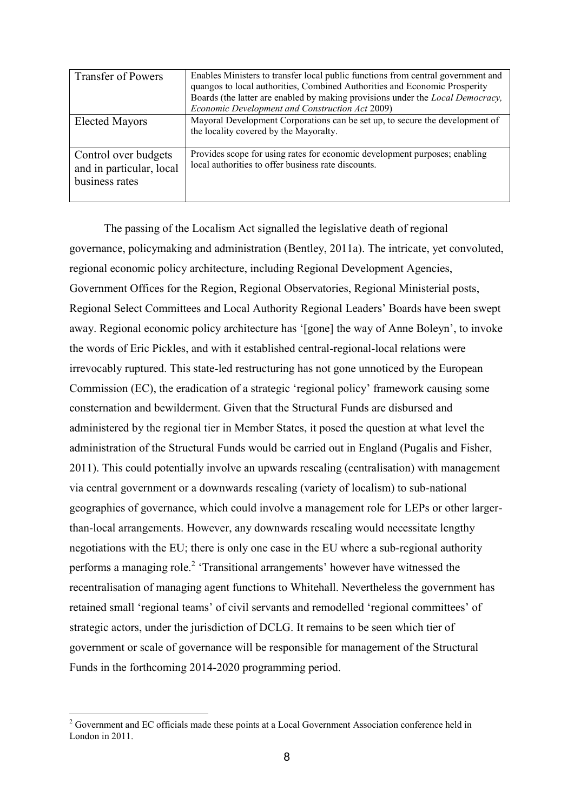| <b>Transfer of Powers</b>                                          | Enables Ministers to transfer local public functions from central government and<br>quangos to local authorities, Combined Authorities and Economic Prosperity<br>Boards (the latter are enabled by making provisions under the <i>Local Democracy</i> ,<br>Economic Development and Construction Act 2009) |
|--------------------------------------------------------------------|-------------------------------------------------------------------------------------------------------------------------------------------------------------------------------------------------------------------------------------------------------------------------------------------------------------|
| <b>Elected Mayors</b>                                              | Mayoral Development Corporations can be set up, to secure the development of<br>the locality covered by the Mayoralty.                                                                                                                                                                                      |
| Control over budgets<br>and in particular, local<br>business rates | Provides scope for using rates for economic development purposes; enabling<br>local authorities to offer business rate discounts.                                                                                                                                                                           |

The passing of the Localism Act signalled the legislative death of regional governance, policymaking and administration (Bentley, 2011a). The intricate, yet convoluted, regional economic policy architecture, including Regional Development Agencies, Government Offices for the Region, Regional Observatories, Regional Ministerial posts, Regional Select Committees and Local Authority Regional Leaders' Boards have been swept away. Regional economic policy architecture has '[gone] the way of Anne Boleyn', to invoke the words of Eric Pickles, and with it established central-regional-local relations were irrevocably ruptured. This state-led restructuring has not gone unnoticed by the European Commission (EC), the eradication of a strategic 'regional policy' framework causing some consternation and bewilderment. Given that the Structural Funds are disbursed and administered by the regional tier in Member States, it posed the question at what level the administration of the Structural Funds would be carried out in England (Pugalis and Fisher, 2011). This could potentially involve an upwards rescaling (centralisation) with management via central government or a downwards rescaling (variety of localism) to sub-national geographies of governance, which could involve a management role for LEPs or other largerthan-local arrangements. However, any downwards rescaling would necessitate lengthy negotiations with the EU; there is only one case in the EU where a sub-regional authority performs a managing role.<sup>2</sup> 'Transitional arrangements' however have witnessed the recentralisation of managing agent functions to Whitehall. Nevertheless the government has retained small 'regional teams' of civil servants and remodelled 'regional committees' of strategic actors, under the jurisdiction of DCLG. It remains to be seen which tier of government or scale of governance will be responsible for management of the Structural Funds in the forthcoming 2014-2020 programming period.

 $\overline{a}$ 

<sup>&</sup>lt;sup>2</sup> Government and EC officials made these points at a Local Government Association conference held in London in 2011.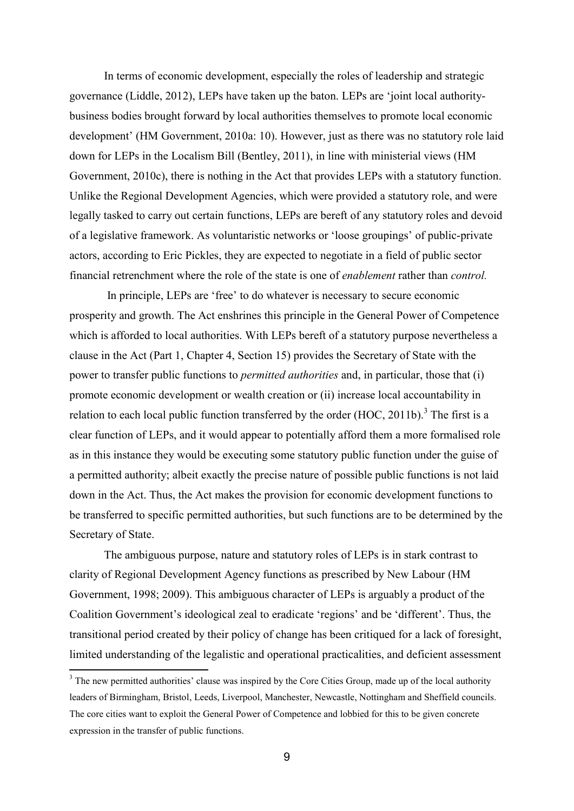In terms of economic development, especially the roles of leadership and strategic governance (Liddle, 2012), LEPs have taken up the baton. LEPs are 'joint local authoritybusiness bodies brought forward by local authorities themselves to promote local economic development' (HM Government, 2010a: 10). However, just as there was no statutory role laid down for LEPs in the Localism Bill (Bentley, 2011), in line with ministerial views (HM Government, 2010c), there is nothing in the Act that provides LEPs with a statutory function. Unlike the Regional Development Agencies, which were provided a statutory role, and were legally tasked to carry out certain functions, LEPs are bereft of any statutory roles and devoid of a legislative framework. As voluntaristic networks or 'loose groupings' of public-private actors, according to Eric Pickles, they are expected to negotiate in a field of public sector financial retrenchment where the role of the state is one of *enablement* rather than *control.*

In principle, LEPs are 'free' to do whatever is necessary to secure economic prosperity and growth. The Act enshrines this principle in the General Power of Competence which is afforded to local authorities. With LEPs bereft of a statutory purpose nevertheless a clause in the Act (Part 1, Chapter 4, Section 15) provides the Secretary of State with the power to transfer public functions to *permitted authorities* and, in particular, those that (i) promote economic development or wealth creation or (ii) increase local accountability in relation to each local public function transferred by the order  $(HOC, 2011b)$ .<sup>3</sup> The first is a clear function of LEPs, and it would appear to potentially afford them a more formalised role as in this instance they would be executing some statutory public function under the guise of a permitted authority; albeit exactly the precise nature of possible public functions is not laid down in the Act. Thus, the Act makes the provision for economic development functions to be transferred to specific permitted authorities, but such functions are to be determined by the Secretary of State.

The ambiguous purpose, nature and statutory roles of LEPs is in stark contrast to clarity of Regional Development Agency functions as prescribed by New Labour (HM Government, 1998; 2009). This ambiguous character of LEPs is arguably a product of the Coalition Government's ideological zeal to eradicate 'regions' and be 'different'. Thus, the transitional period created by their policy of change has been critiqued for a lack of foresight, limited understanding of the legalistic and operational practicalities, and deficient assessment

 $\overline{a}$ 

<sup>&</sup>lt;sup>3</sup> The new permitted authorities' clause was inspired by the Core Cities Group, made up of the local authority leaders of Birmingham, Bristol, Leeds, Liverpool, Manchester, Newcastle, Nottingham and Sheffield councils. The core cities want to exploit the General Power of Competence and lobbied for this to be given concrete expression in the transfer of public functions.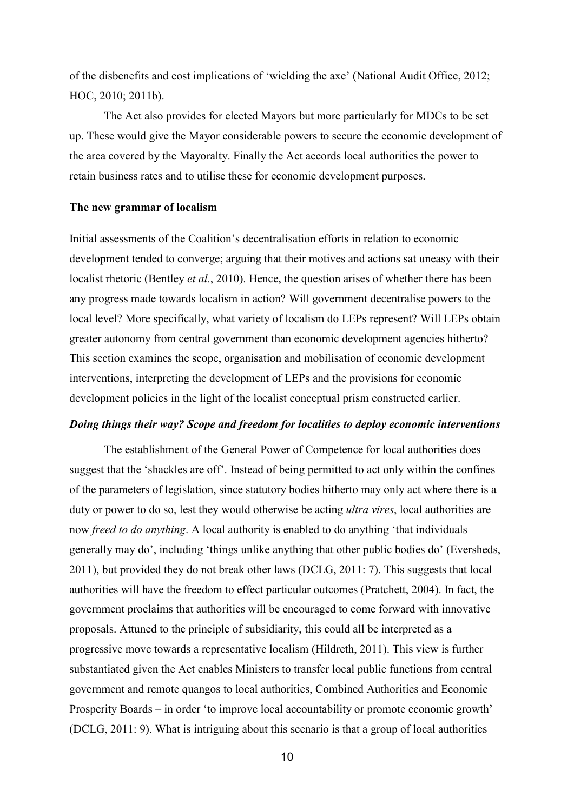of the disbenefits and cost implications of 'wielding the axe' (National Audit Office, 2012; HOC, 2010; 2011b).

The Act also provides for elected Mayors but more particularly for MDCs to be set up. These would give the Mayor considerable powers to secure the economic development of the area covered by the Mayoralty. Finally the Act accords local authorities the power to retain business rates and to utilise these for economic development purposes.

## **The new grammar of localism**

Initial assessments of the Coalition's decentralisation efforts in relation to economic development tended to converge; arguing that their motives and actions sat uneasy with their localist rhetoric (Bentley *et al.*, 2010). Hence, the question arises of whether there has been any progress made towards localism in action? Will government decentralise powers to the local level? More specifically, what variety of localism do LEPs represent? Will LEPs obtain greater autonomy from central government than economic development agencies hitherto? This section examines the scope, organisation and mobilisation of economic development interventions, interpreting the development of LEPs and the provisions for economic development policies in the light of the localist conceptual prism constructed earlier.

## *Doing things their way? Scope and freedom for localities to deploy economic interventions*

The establishment of the General Power of Competence for local authorities does suggest that the 'shackles are off'. Instead of being permitted to act only within the confines of the parameters of legislation, since statutory bodies hitherto may only act where there is a duty or power to do so, lest they would otherwise be acting *ultra vires*, local authorities are now *freed to do anything*. A local authority is enabled to do anything 'that individuals generally may do', including 'things unlike anything that other public bodies do' (Eversheds, 2011), but provided they do not break other laws (DCLG, 2011: 7). This suggests that local authorities will have the freedom to effect particular outcomes (Pratchett, 2004). In fact, the government proclaims that authorities will be encouraged to come forward with innovative proposals. Attuned to the principle of subsidiarity, this could all be interpreted as a progressive move towards a representative localism (Hildreth, 2011). This view is further substantiated given the Act enables Ministers to transfer local public functions from central government and remote quangos to local authorities, Combined Authorities and Economic Prosperity Boards – in order 'to improve local accountability or promote economic growth' (DCLG, 2011: 9). What is intriguing about this scenario is that a group of local authorities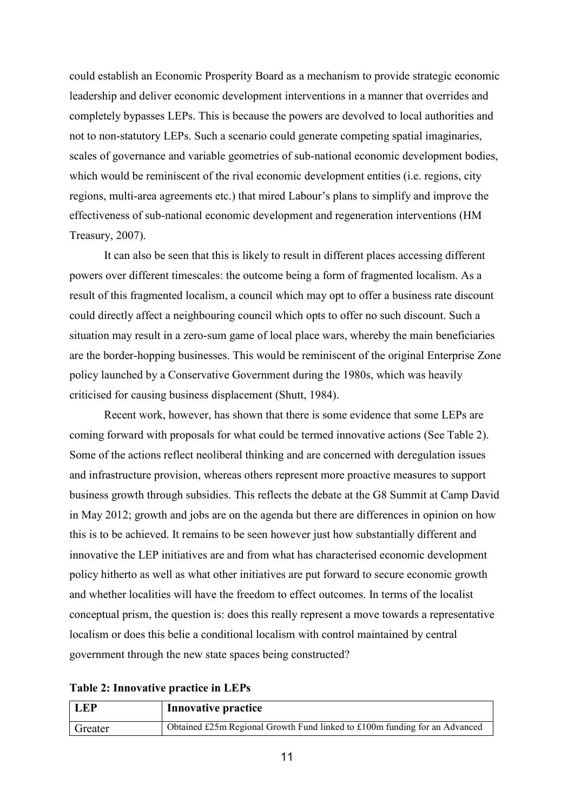could establish an Economic Prosperity Board as a mechanism to provide strategic economic leadership and deliver economic development interventions in a manner that overrides and completely bypasses LEPs. This is because the powers are devolved to local authorities and not to non-statutory LEPs. Such a scenario could generate competing spatial imaginaries, scales of governance and variable geometries of sub-national economic development bodies, which would be reminiscent of the rival economic development entities (i.e. regions, city regions, multi-area agreements etc.) that mired Labour's plans to simplify and improve the effectiveness of sub-national economic development and regeneration interventions (HM Treasury, 2007).

It can also be seen that this is likely to result in different places accessing different powers over different timescales: the outcome being a form of fragmented localism. As a result of this fragmented localism, a council which may opt to offer a business rate discount could directly affect a neighbouring council which opts to offer no such discount. Such a situation may result in a zero-sum game of local place wars, whereby the main beneficiaries are the border-hopping businesses. This would be reminiscent of the original Enterprise Zone policy launched by a Conservative Government during the 1980s, which was heavily criticised for causing business displacement (Shutt, 1984).

Recent work, however, has shown that there is some evidence that some LEPs are coming forward with proposals for what could be termed innovative actions (See Table 2). Some of the actions reflect neoliberal thinking and are concerned with deregulation issues and infrastructure provision, whereas others represent more proactive measures to support business growth through subsidies. This reflects the debate at the G8 Summit at Camp David in May 2012; growth and jobs are on the agenda but there are differences in opinion on how this is to be achieved. It remains to be seen however just how substantially different and innovative the LEP initiatives are and from what has characterised economic development policy hitherto as well as what other initiatives are put forward to secure economic growth and whether localities will have the freedom to effect outcomes. In terms of the localist conceptual prism, the question is: does this really represent a move towards a representative localism or does this belie a conditional localism with control maintained by central government through the new state spaces being constructed?

|  | Table 2: Innovative practice in LEPs |  |  |
|--|--------------------------------------|--|--|
|--|--------------------------------------|--|--|

| <b>LEP</b> | <b>Innovative practice</b>                                                 |
|------------|----------------------------------------------------------------------------|
| Greater    | Obtained £25m Regional Growth Fund linked to £100m funding for an Advanced |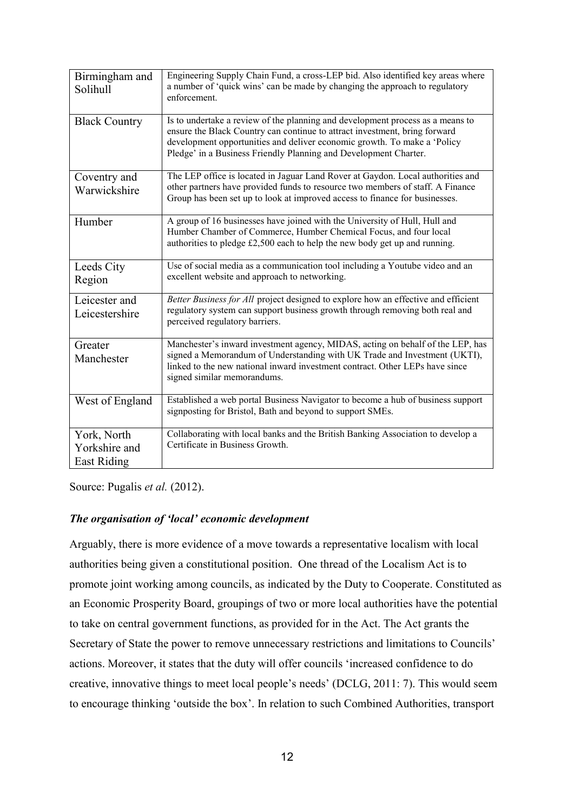| Birmingham and<br>Solihull                  | Engineering Supply Chain Fund, a cross-LEP bid. Also identified key areas where<br>a number of 'quick wins' can be made by changing the approach to regulatory<br>enforcement.                                                                                                                               |
|---------------------------------------------|--------------------------------------------------------------------------------------------------------------------------------------------------------------------------------------------------------------------------------------------------------------------------------------------------------------|
| <b>Black Country</b>                        | Is to undertake a review of the planning and development process as a means to<br>ensure the Black Country can continue to attract investment, bring forward<br>development opportunities and deliver economic growth. To make a 'Policy<br>Pledge' in a Business Friendly Planning and Development Charter. |
| Coventry and<br>Warwickshire                | The LEP office is located in Jaguar Land Rover at Gaydon. Local authorities and<br>other partners have provided funds to resource two members of staff. A Finance<br>Group has been set up to look at improved access to finance for businesses.                                                             |
| Humber                                      | A group of 16 businesses have joined with the University of Hull, Hull and<br>Humber Chamber of Commerce, Humber Chemical Focus, and four local<br>authorities to pledge £2,500 each to help the new body get up and running.                                                                                |
| Leeds City<br>Region                        | Use of social media as a communication tool including a Youtube video and an<br>excellent website and approach to networking.                                                                                                                                                                                |
| Leicester and<br>Leicestershire             | Better Business for All project designed to explore how an effective and efficient<br>regulatory system can support business growth through removing both real and<br>perceived regulatory barriers.                                                                                                         |
| Greater<br>Manchester                       | Manchester's inward investment agency, MIDAS, acting on behalf of the LEP, has<br>signed a Memorandum of Understanding with UK Trade and Investment (UKTI),<br>linked to the new national inward investment contract. Other LEPs have since<br>signed similar memorandums.                                   |
| West of England                             | Established a web portal Business Navigator to become a hub of business support<br>signposting for Bristol, Bath and beyond to support SMEs.                                                                                                                                                                 |
| York, North<br>Yorkshire and<br>East Riding | Collaborating with local banks and the British Banking Association to develop a<br>Certificate in Business Growth.                                                                                                                                                                                           |

Source: Pugalis *et al.* (2012).

# *The organisation of 'local' economic development*

Arguably, there is more evidence of a move towards a representative localism with local authorities being given a constitutional position. One thread of the Localism Act is to promote joint working among councils, as indicated by the Duty to Cooperate. Constituted as an Economic Prosperity Board, groupings of two or more local authorities have the potential to take on central government functions, as provided for in the Act. The Act grants the Secretary of State the power to remove unnecessary restrictions and limitations to Councils' actions. Moreover, it states that the duty will offer councils 'increased confidence to do creative, innovative things to meet local people's needs' (DCLG, 2011: 7). This would seem to encourage thinking 'outside the box'. In relation to such Combined Authorities, transport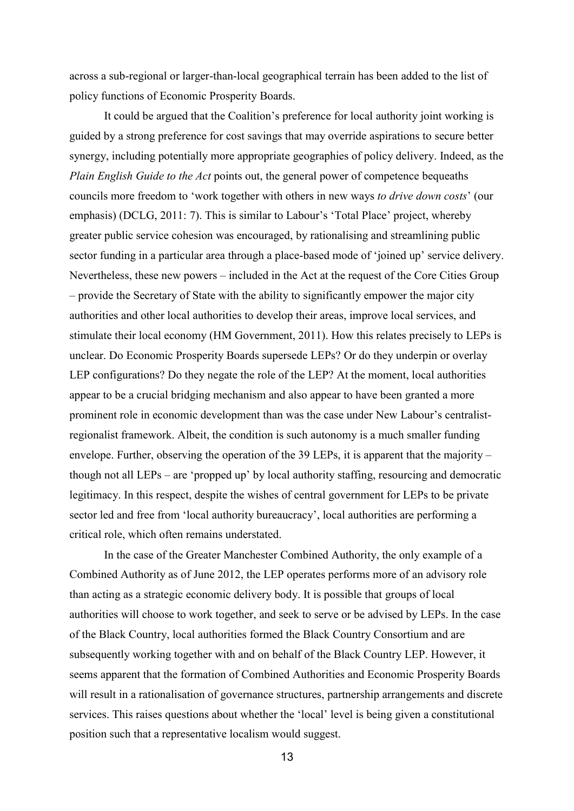across a sub-regional or larger-than-local geographical terrain has been added to the list of policy functions of Economic Prosperity Boards.

It could be argued that the Coalition's preference for local authority joint working is guided by a strong preference for cost savings that may override aspirations to secure better synergy, including potentially more appropriate geographies of policy delivery. Indeed, as the *Plain English Guide to the Act* points out, the general power of competence bequeaths councils more freedom to 'work together with others in new ways *to drive down costs*' (our emphasis) (DCLG, 2011: 7). This is similar to Labour's 'Total Place' project, whereby greater public service cohesion was encouraged, by rationalising and streamlining public sector funding in a particular area through a place-based mode of 'joined up' service delivery. Nevertheless, these new powers – included in the Act at the request of the Core Cities Group – provide the Secretary of State with the ability to significantly empower the major city authorities and other local authorities to develop their areas, improve local services, and stimulate their local economy (HM Government, 2011). How this relates precisely to LEPs is unclear. Do Economic Prosperity Boards supersede LEPs? Or do they underpin or overlay LEP configurations? Do they negate the role of the LEP? At the moment, local authorities appear to be a crucial bridging mechanism and also appear to have been granted a more prominent role in economic development than was the case under New Labour's centralistregionalist framework. Albeit, the condition is such autonomy is a much smaller funding envelope. Further, observing the operation of the 39 LEPs, it is apparent that the majority – though not all LEPs – are 'propped up' by local authority staffing, resourcing and democratic legitimacy. In this respect, despite the wishes of central government for LEPs to be private sector led and free from 'local authority bureaucracy', local authorities are performing a critical role, which often remains understated.

In the case of the Greater Manchester Combined Authority, the only example of a Combined Authority as of June 2012, the LEP operates performs more of an advisory role than acting as a strategic economic delivery body. It is possible that groups of local authorities will choose to work together, and seek to serve or be advised by LEPs. In the case of the Black Country, local authorities formed the Black Country Consortium and are subsequently working together with and on behalf of the Black Country LEP. However, it seems apparent that the formation of Combined Authorities and Economic Prosperity Boards will result in a rationalisation of governance structures, partnership arrangements and discrete services. This raises questions about whether the 'local' level is being given a constitutional position such that a representative localism would suggest.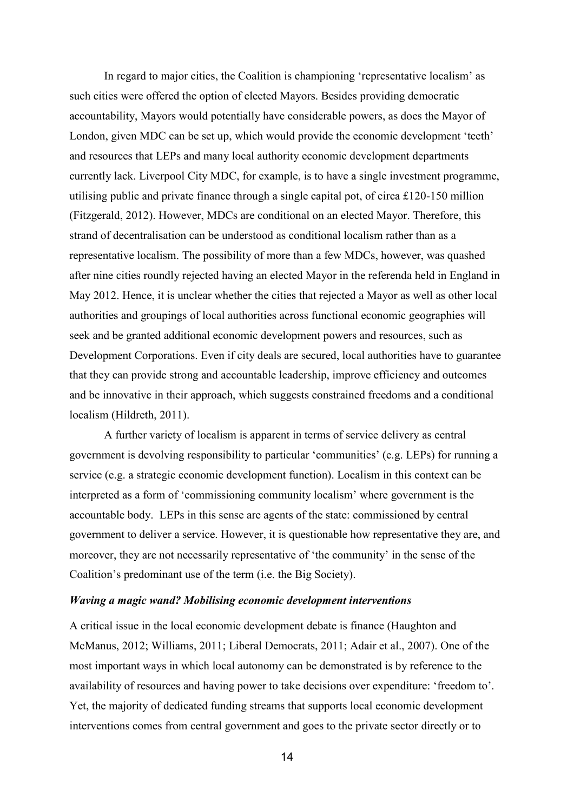In regard to major cities, the Coalition is championing 'representative localism' as such cities were offered the option of elected Mayors. Besides providing democratic accountability, Mayors would potentially have considerable powers, as does the Mayor of London, given MDC can be set up, which would provide the economic development 'teeth' and resources that LEPs and many local authority economic development departments currently lack. Liverpool City MDC, for example, is to have a single investment programme, utilising public and private finance through a single capital pot, of circa £120-150 million (Fitzgerald, 2012). However, MDCs are conditional on an elected Mayor. Therefore, this strand of decentralisation can be understood as conditional localism rather than as a representative localism. The possibility of more than a few MDCs, however, was quashed after nine cities roundly rejected having an elected Mayor in the referenda held in England in May 2012. Hence, it is unclear whether the cities that rejected a Mayor as well as other local authorities and groupings of local authorities across functional economic geographies will seek and be granted additional economic development powers and resources, such as Development Corporations. Even if city deals are secured, local authorities have to guarantee that they can provide strong and accountable leadership, improve efficiency and outcomes and be innovative in their approach, which suggests constrained freedoms and a conditional localism (Hildreth, 2011).

A further variety of localism is apparent in terms of service delivery as central government is devolving responsibility to particular 'communities' (e.g. LEPs) for running a service (e.g. a strategic economic development function). Localism in this context can be interpreted as a form of 'commissioning community localism' where government is the accountable body. LEPs in this sense are agents of the state: commissioned by central government to deliver a service. However, it is questionable how representative they are, and moreover, they are not necessarily representative of 'the community' in the sense of the Coalition's predominant use of the term (i.e. the Big Society).

## *Waving a magic wand? Mobilising economic development interventions*

A critical issue in the local economic development debate is finance (Haughton and McManus, 2012; Williams, 2011; Liberal Democrats, 2011; Adair et al., 2007). One of the most important ways in which local autonomy can be demonstrated is by reference to the availability of resources and having power to take decisions over expenditure: 'freedom to'. Yet, the majority of dedicated funding streams that supports local economic development interventions comes from central government and goes to the private sector directly or to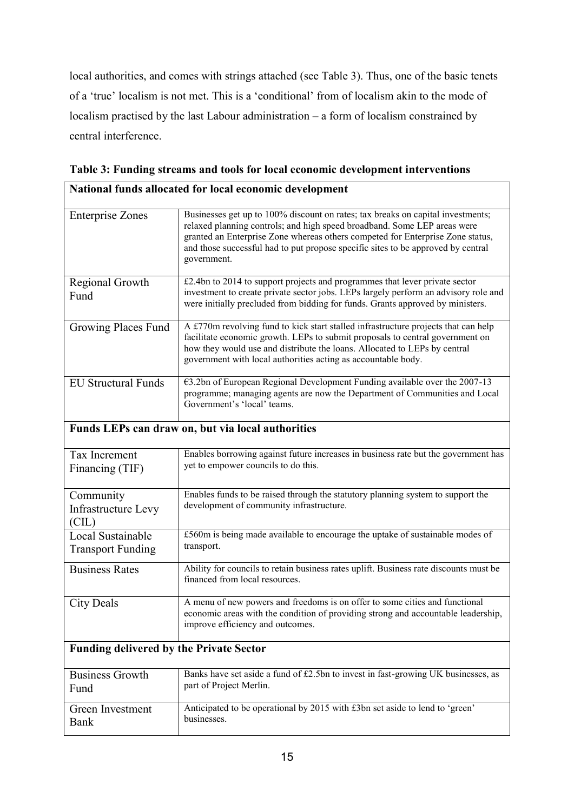local authorities, and comes with strings attached (see Table 3). Thus, one of the basic tenets of a 'true' localism is not met. This is a 'conditional' from of localism akin to the mode of localism practised by the last Labour administration – a form of localism constrained by central interference.

| <b>Enterprise Zones</b>                           | Businesses get up to 100% discount on rates; tax breaks on capital investments;<br>relaxed planning controls; and high speed broadband. Some LEP areas were<br>granted an Enterprise Zone whereas others competed for Enterprise Zone status,<br>and those successful had to put propose specific sites to be approved by central<br>government. |  |
|---------------------------------------------------|--------------------------------------------------------------------------------------------------------------------------------------------------------------------------------------------------------------------------------------------------------------------------------------------------------------------------------------------------|--|
| Regional Growth<br>Fund                           | £2.4bn to 2014 to support projects and programmes that lever private sector<br>investment to create private sector jobs. LEPs largely perform an advisory role and<br>were initially precluded from bidding for funds. Grants approved by ministers.                                                                                             |  |
| Growing Places Fund                               | A £770m revolving fund to kick start stalled infrastructure projects that can help<br>facilitate economic growth. LEPs to submit proposals to central government on<br>how they would use and distribute the loans. Allocated to LEPs by central<br>government with local authorities acting as accountable body.                                |  |
| <b>EU Structural Funds</b>                        | €3.2bn of European Regional Development Funding available over the 2007-13<br>programme; managing agents are now the Department of Communities and Local<br>Government's 'local' teams.                                                                                                                                                          |  |
| Funds LEPs can draw on, but via local authorities |                                                                                                                                                                                                                                                                                                                                                  |  |
| Tax Increment<br>Financing (TIF)                  | Enables borrowing against future increases in business rate but the government has<br>yet to empower councils to do this.                                                                                                                                                                                                                        |  |
| Community<br>Infrastructure Levy<br>(CL)          | Enables funds to be raised through the statutory planning system to support the<br>development of community infrastructure.                                                                                                                                                                                                                      |  |
| Local Sustainable<br><b>Transport Funding</b>     | £560m is being made available to encourage the uptake of sustainable modes of<br>transport.                                                                                                                                                                                                                                                      |  |
| <b>Business Rates</b>                             | Ability for councils to retain business rates uplift. Business rate discounts must be<br>financed from local resources.                                                                                                                                                                                                                          |  |
| <b>City Deals</b>                                 | A menu of new powers and freedoms is on offer to some cities and functional<br>economic areas with the condition of providing strong and accountable leadership,<br>improve efficiency and outcomes.                                                                                                                                             |  |
| <b>Funding delivered by the Private Sector</b>    |                                                                                                                                                                                                                                                                                                                                                  |  |
| <b>Business Growth</b><br>Fund                    | Banks have set aside a fund of £2.5bn to invest in fast-growing UK businesses, as<br>part of Project Merlin.                                                                                                                                                                                                                                     |  |
| Green Investment<br><b>Bank</b>                   | Anticipated to be operational by 2015 with £3bn set aside to lend to 'green'<br>businesses.                                                                                                                                                                                                                                                      |  |

**Table 3: Funding streams and tools for local economic development interventions National funds allocated for local economic development**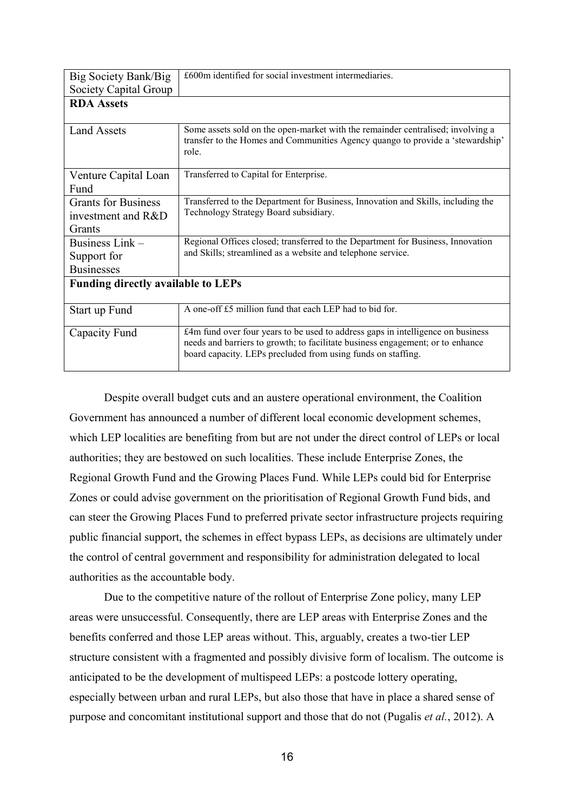| Big Society Bank/Big                      | £600m identified for social investment intermediaries.                                                                                                                     |
|-------------------------------------------|----------------------------------------------------------------------------------------------------------------------------------------------------------------------------|
| Society Capital Group                     |                                                                                                                                                                            |
| <b>RDA</b> Assets                         |                                                                                                                                                                            |
|                                           |                                                                                                                                                                            |
| <b>Land Assets</b>                        | Some assets sold on the open-market with the remainder centralised; involving a<br>transfer to the Homes and Communities Agency quango to provide a 'stewardship'<br>role. |
|                                           |                                                                                                                                                                            |
| Venture Capital Loan                      | Transferred to Capital for Enterprise.                                                                                                                                     |
| Fund                                      |                                                                                                                                                                            |
| <b>Grants for Business</b>                | Transferred to the Department for Business, Innovation and Skills, including the                                                                                           |
| investment and R&D                        | Technology Strategy Board subsidiary.                                                                                                                                      |
| Grants                                    |                                                                                                                                                                            |
| Business Link-                            | Regional Offices closed; transferred to the Department for Business, Innovation                                                                                            |
| Support for                               | and Skills; streamlined as a website and telephone service.                                                                                                                |
| <b>Businesses</b>                         |                                                                                                                                                                            |
| <b>Funding directly available to LEPs</b> |                                                                                                                                                                            |
|                                           |                                                                                                                                                                            |
| Start up Fund                             | A one-off £5 million fund that each LEP had to bid for.                                                                                                                    |
| Capacity Fund                             | £4m fund over four years to be used to address gaps in intelligence on business                                                                                            |
|                                           | needs and barriers to growth; to facilitate business engagement; or to enhance<br>board capacity. LEPs precluded from using funds on staffing.                             |
|                                           |                                                                                                                                                                            |

Despite overall budget cuts and an austere operational environment, the Coalition Government has announced a number of different local economic development schemes, which LEP localities are benefiting from but are not under the direct control of LEPs or local authorities; they are bestowed on such localities. These include Enterprise Zones, the Regional Growth Fund and the Growing Places Fund. While LEPs could bid for Enterprise Zones or could advise government on the prioritisation of Regional Growth Fund bids, and can steer the Growing Places Fund to preferred private sector infrastructure projects requiring public financial support, the schemes in effect bypass LEPs, as decisions are ultimately under the control of central government and responsibility for administration delegated to local authorities as the accountable body.

Due to the competitive nature of the rollout of Enterprise Zone policy, many LEP areas were unsuccessful. Consequently, there are LEP areas with Enterprise Zones and the benefits conferred and those LEP areas without. This, arguably, creates a two-tier LEP structure consistent with a fragmented and possibly divisive form of localism. The outcome is anticipated to be the development of multispeed LEPs: a postcode lottery operating, especially between urban and rural LEPs, but also those that have in place a shared sense of purpose and concomitant institutional support and those that do not (Pugalis *et al.*, 2012). A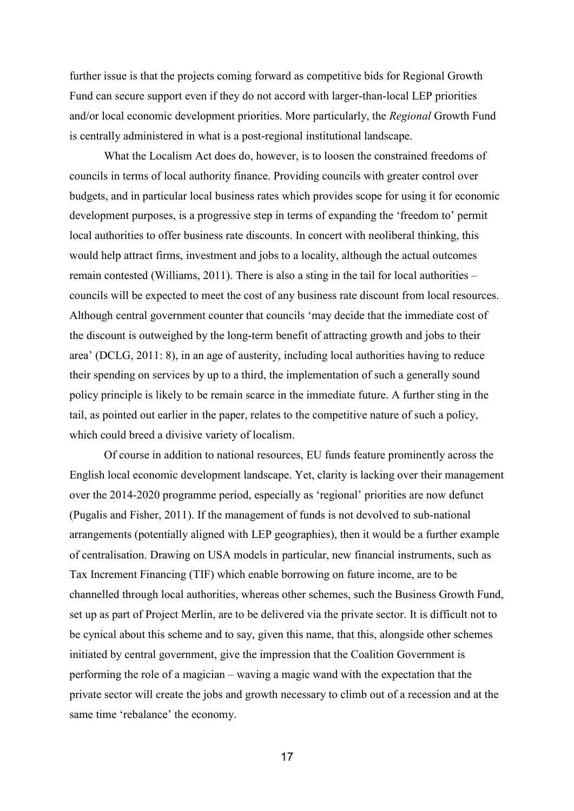further issue is that the projects coming forward as competitive bids for Regional Growth Fund can secure support even if they do not accord with larger-than-local LEP priorities and/or local economic development priorities. More particularly, the *Regional* Growth Fund is centrally administered in what is a post-regional institutional landscape.

What the Localism Act does do, however, is to loosen the constrained freedoms of councils in terms of local authority finance. Providing councils with greater control over budgets, and in particular local business rates which provides scope for using it for economic development purposes, is a progressive step in terms of expanding the 'freedom to' permit local authorities to offer business rate discounts. In concert with neoliberal thinking, this would help attract firms, investment and jobs to a locality, although the actual outcomes remain contested (Williams, 2011). There is also a sting in the tail for local authorities – councils will be expected to meet the cost of any business rate discount from local resources. Although central government counter that councils 'may decide that the immediate cost of the discount is outweighed by the long-term benefit of attracting growth and jobs to their area' (DCLG, 2011: 8), in an age of austerity, including local authorities having to reduce their spending on services by up to a third, the implementation of such a generally sound policy principle is likely to be remain scarce in the immediate future. A further sting in the tail, as pointed out earlier in the paper, relates to the competitive nature of such a policy, which could breed a divisive variety of localism.

Of course in addition to national resources, EU funds feature prominently across the English local economic development landscape. Yet, clarity is lacking over their management over the 2014-2020 programme period, especially as 'regional' priorities are now defunct (Pugalis and Fisher, 2011). If the management of funds is not devolved to sub-national arrangements (potentially aligned with LEP geographies), then it would be a further example of centralisation. Drawing on USA models in particular, new financial instruments, such as Tax Increment Financing (TIF) which enable borrowing on future income, are to be channelled through local authorities, whereas other schemes, such the Business Growth Fund, set up as part of Project Merlin, are to be delivered via the private sector. It is difficult not to be cynical about this scheme and to say, given this name, that this, alongside other schemes initiated by central government, give the impression that the Coalition Government is performing the role of a magician – waving a magic wand with the expectation that the private sector will create the jobs and growth necessary to climb out of a recession and at the same time 'rebalance' the economy.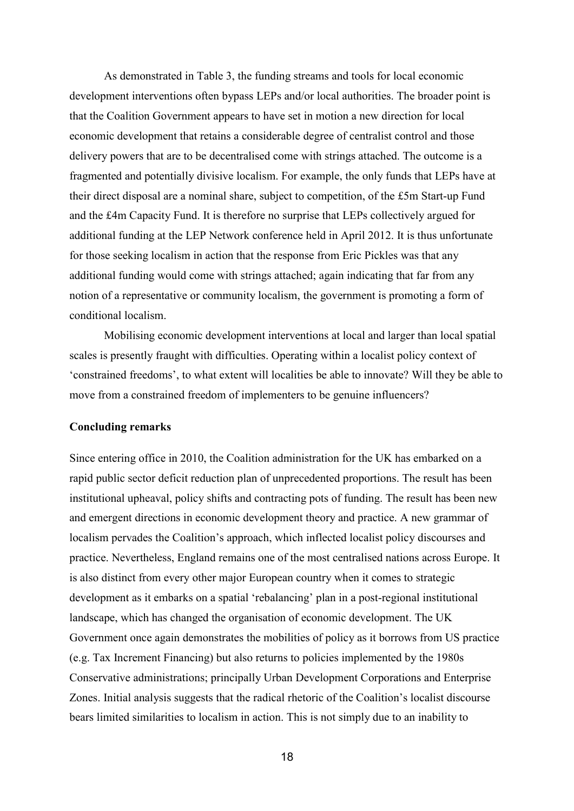As demonstrated in Table 3, the funding streams and tools for local economic development interventions often bypass LEPs and/or local authorities. The broader point is that the Coalition Government appears to have set in motion a new direction for local economic development that retains a considerable degree of centralist control and those delivery powers that are to be decentralised come with strings attached. The outcome is a fragmented and potentially divisive localism. For example, the only funds that LEPs have at their direct disposal are a nominal share, subject to competition, of the £5m Start-up Fund and the £4m Capacity Fund. It is therefore no surprise that LEPs collectively argued for additional funding at the LEP Network conference held in April 2012. It is thus unfortunate for those seeking localism in action that the response from Eric Pickles was that any additional funding would come with strings attached; again indicating that far from any notion of a representative or community localism, the government is promoting a form of conditional localism.

Mobilising economic development interventions at local and larger than local spatial scales is presently fraught with difficulties. Operating within a localist policy context of 'constrained freedoms', to what extent will localities be able to innovate? Will they be able to move from a constrained freedom of implementers to be genuine influencers?

# **Concluding remarks**

Since entering office in 2010, the Coalition administration for the UK has embarked on a rapid public sector deficit reduction plan of unprecedented proportions. The result has been institutional upheaval, policy shifts and contracting pots of funding. The result has been new and emergent directions in economic development theory and practice. A new grammar of localism pervades the Coalition's approach, which inflected localist policy discourses and practice. Nevertheless, England remains one of the most centralised nations across Europe. It is also distinct from every other major European country when it comes to strategic development as it embarks on a spatial 'rebalancing' plan in a post-regional institutional landscape, which has changed the organisation of economic development. The UK Government once again demonstrates the mobilities of policy as it borrows from US practice (e.g. Tax Increment Financing) but also returns to policies implemented by the 1980s Conservative administrations; principally Urban Development Corporations and Enterprise Zones. Initial analysis suggests that the radical rhetoric of the Coalition's localist discourse bears limited similarities to localism in action. This is not simply due to an inability to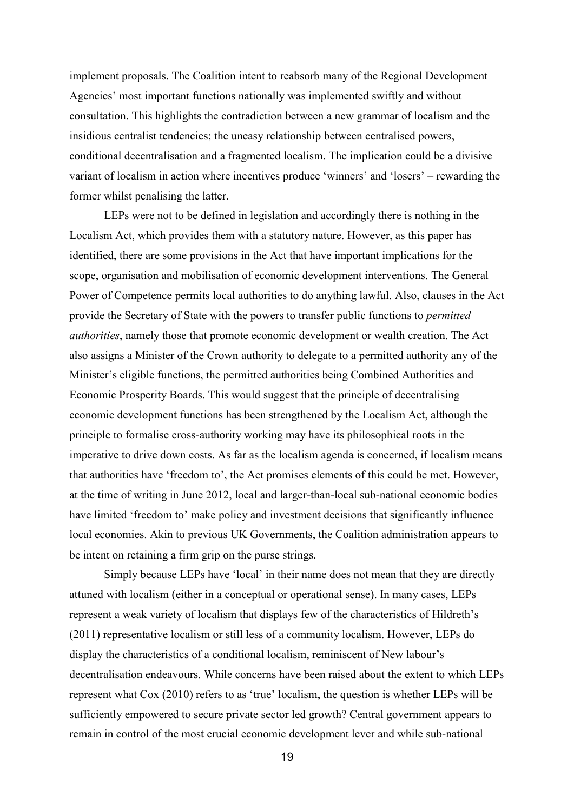implement proposals. The Coalition intent to reabsorb many of the Regional Development Agencies' most important functions nationally was implemented swiftly and without consultation. This highlights the contradiction between a new grammar of localism and the insidious centralist tendencies; the uneasy relationship between centralised powers, conditional decentralisation and a fragmented localism. The implication could be a divisive variant of localism in action where incentives produce 'winners' and 'losers' – rewarding the former whilst penalising the latter.

LEPs were not to be defined in legislation and accordingly there is nothing in the Localism Act, which provides them with a statutory nature. However, as this paper has identified, there are some provisions in the Act that have important implications for the scope, organisation and mobilisation of economic development interventions. The General Power of Competence permits local authorities to do anything lawful. Also, clauses in the Act provide the Secretary of State with the powers to transfer public functions to *permitted authorities*, namely those that promote economic development or wealth creation. The Act also assigns a Minister of the Crown authority to delegate to a permitted authority any of the Minister's eligible functions, the permitted authorities being Combined Authorities and Economic Prosperity Boards. This would suggest that the principle of decentralising economic development functions has been strengthened by the Localism Act, although the principle to formalise cross-authority working may have its philosophical roots in the imperative to drive down costs. As far as the localism agenda is concerned, if localism means that authorities have 'freedom to', the Act promises elements of this could be met. However, at the time of writing in June 2012, local and larger-than-local sub-national economic bodies have limited 'freedom to' make policy and investment decisions that significantly influence local economies. Akin to previous UK Governments, the Coalition administration appears to be intent on retaining a firm grip on the purse strings.

Simply because LEPs have 'local' in their name does not mean that they are directly attuned with localism (either in a conceptual or operational sense). In many cases, LEPs represent a weak variety of localism that displays few of the characteristics of Hildreth's (2011) representative localism or still less of a community localism. However, LEPs do display the characteristics of a conditional localism, reminiscent of New labour's decentralisation endeavours. While concerns have been raised about the extent to which LEPs represent what Cox (2010) refers to as 'true' localism, the question is whether LEPs will be sufficiently empowered to secure private sector led growth? Central government appears to remain in control of the most crucial economic development lever and while sub-national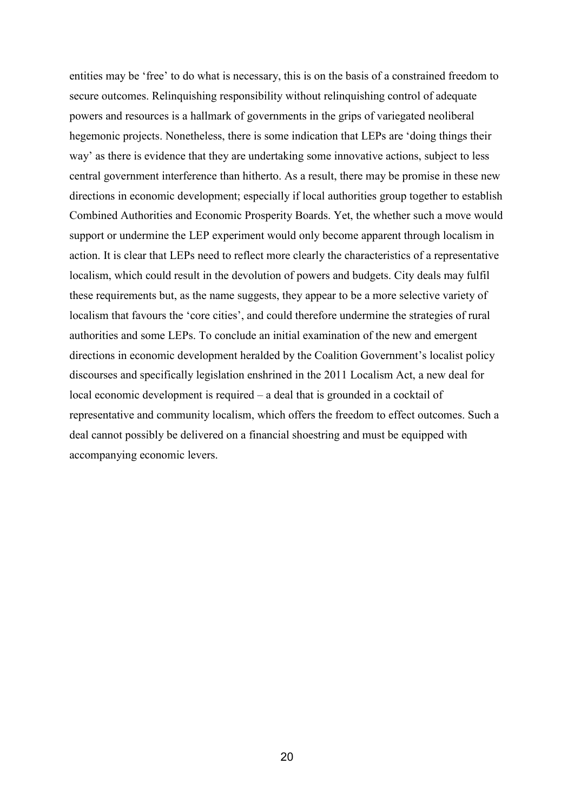entities may be 'free' to do what is necessary, this is on the basis of a constrained freedom to secure outcomes. Relinquishing responsibility without relinquishing control of adequate powers and resources is a hallmark of governments in the grips of variegated neoliberal hegemonic projects. Nonetheless, there is some indication that LEPs are 'doing things their way' as there is evidence that they are undertaking some innovative actions, subject to less central government interference than hitherto. As a result, there may be promise in these new directions in economic development; especially if local authorities group together to establish Combined Authorities and Economic Prosperity Boards. Yet, the whether such a move would support or undermine the LEP experiment would only become apparent through localism in action. It is clear that LEPs need to reflect more clearly the characteristics of a representative localism, which could result in the devolution of powers and budgets. City deals may fulfil these requirements but, as the name suggests, they appear to be a more selective variety of localism that favours the 'core cities', and could therefore undermine the strategies of rural authorities and some LEPs. To conclude an initial examination of the new and emergent directions in economic development heralded by the Coalition Government's localist policy discourses and specifically legislation enshrined in the 2011 Localism Act, a new deal for local economic development is required – a deal that is grounded in a cocktail of representative and community localism, which offers the freedom to effect outcomes. Such a deal cannot possibly be delivered on a financial shoestring and must be equipped with accompanying economic levers.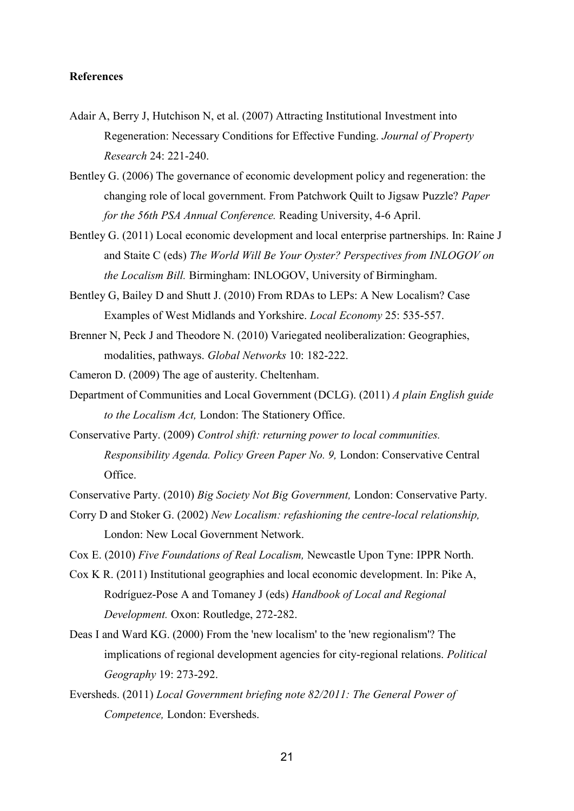# **References**

- Adair A, Berry J, Hutchison N, et al. (2007) Attracting Institutional Investment into Regeneration: Necessary Conditions for Effective Funding. *Journal of Property Research* 24: 221-240.
- Bentley G. (2006) The governance of economic development policy and regeneration: the changing role of local government. From Patchwork Quilt to Jigsaw Puzzle? *Paper for the 56th PSA Annual Conference.* Reading University, 4-6 April.
- Bentley G. (2011) Local economic development and local enterprise partnerships. In: Raine J and Staite C (eds) *The World Will Be Your Oyster? Perspectives from INLOGOV on the Localism Bill.* Birmingham: INLOGOV, University of Birmingham.
- Bentley G, Bailey D and Shutt J. (2010) From RDAs to LEPs: A New Localism? Case Examples of West Midlands and Yorkshire. *Local Economy* 25: 535-557.
- Brenner N, Peck J and Theodore N. (2010) Variegated neoliberalization: Geographies, modalities, pathways. *Global Networks* 10: 182-222.

Cameron D. (2009) The age of austerity. Cheltenham.

- Department of Communities and Local Government (DCLG). (2011) *A plain English guide to the Localism Act,* London: The Stationery Office.
- Conservative Party. (2009) *Control shift: returning power to local communities. Responsibility Agenda. Policy Green Paper No. 9,* London: Conservative Central Office.
- Conservative Party. (2010) *Big Society Not Big Government,* London: Conservative Party.
- Corry D and Stoker G. (2002) *New Localism: refashioning the centre-local relationship,*  London: New Local Government Network.
- Cox E. (2010) *Five Foundations of Real Localism,* Newcastle Upon Tyne: IPPR North.
- Cox K R. (2011) Institutional geographies and local economic development. In: Pike A, Rodríguez-Pose A and Tomaney J (eds) *Handbook of Local and Regional Development.* Oxon: Routledge, 272-282.
- Deas I and Ward KG. (2000) From the 'new localism' to the 'new regionalism'? The implications of regional development agencies for city-regional relations. *Political Geography* 19: 273-292.
- Eversheds. (2011) *Local Government briefing note 82/2011: The General Power of Competence,* London: Eversheds.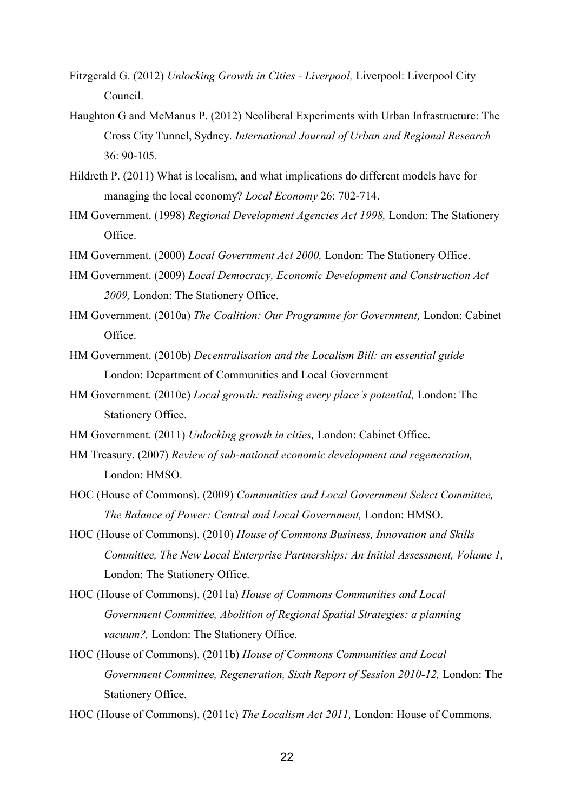- Fitzgerald G. (2012) *Unlocking Growth in Cities Liverpool,* Liverpool: Liverpool City Council.
- Haughton G and McManus P. (2012) Neoliberal Experiments with Urban Infrastructure: The Cross City Tunnel, Sydney. *International Journal of Urban and Regional Research* 36: 90-105.
- Hildreth P. (2011) What is localism, and what implications do different models have for managing the local economy? *Local Economy* 26: 702-714.
- HM Government. (1998) *Regional Development Agencies Act 1998,* London: The Stationery Office.
- HM Government. (2000) *Local Government Act 2000,* London: The Stationery Office.
- HM Government. (2009) *Local Democracy, Economic Development and Construction Act 2009,* London: The Stationery Office.
- HM Government. (2010a) *The Coalition: Our Programme for Government,* London: Cabinet Office.
- HM Government. (2010b) *Decentralisation and the Localism Bill: an essential guide*  London: Department of Communities and Local Government
- HM Government. (2010c) *Local growth: realising every place's potential,* London: The Stationery Office.
- HM Government. (2011) *Unlocking growth in cities,* London: Cabinet Office.
- HM Treasury. (2007) *Review of sub-national economic development and regeneration,*  London: HMSO.
- HOC (House of Commons). (2009) *Communities and Local Government Select Committee, The Balance of Power: Central and Local Government,* London: HMSO.
- HOC (House of Commons). (2010) *House of Commons Business, Innovation and Skills Committee, The New Local Enterprise Partnerships: An Initial Assessment, Volume 1,*  London: The Stationery Office.
- HOC (House of Commons). (2011a) *House of Commons Communities and Local Government Committee, Abolition of Regional Spatial Strategies: a planning vacuum?,* London: The Stationery Office.
- HOC (House of Commons). (2011b) *House of Commons Communities and Local Government Committee, Regeneration, Sixth Report of Session 2010-12, London: The* Stationery Office.

HOC (House of Commons). (2011c) *The Localism Act 2011,* London: House of Commons.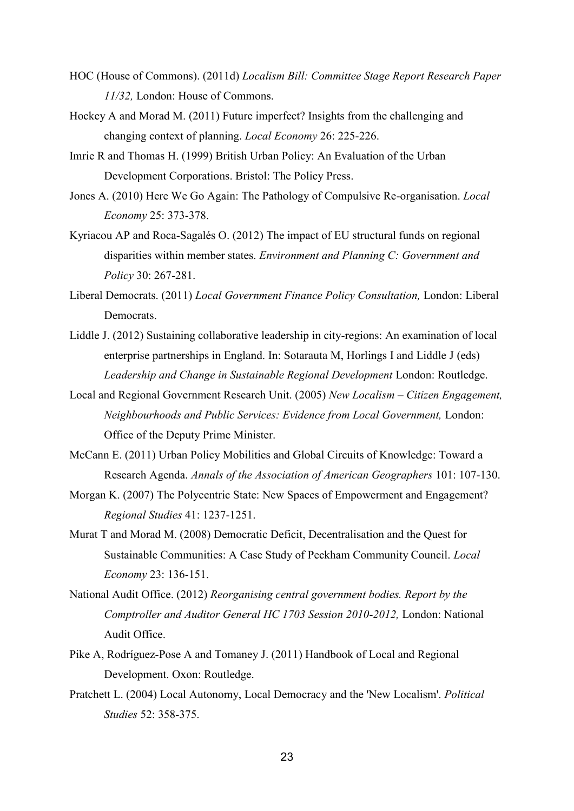- HOC (House of Commons). (2011d) *Localism Bill: Committee Stage Report Research Paper 11/32,* London: House of Commons.
- Hockey A and Morad M. (2011) Future imperfect? Insights from the challenging and changing context of planning. *Local Economy* 26: 225-226.
- Imrie R and Thomas H. (1999) British Urban Policy: An Evaluation of the Urban Development Corporations. Bristol: The Policy Press.
- Jones A. (2010) Here We Go Again: The Pathology of Compulsive Re-organisation. *Local Economy* 25: 373-378.
- Kyriacou AP and Roca-Sagalés O. (2012) The impact of EU structural funds on regional disparities within member states. *Environment and Planning C: Government and Policy* 30: 267-281.
- Liberal Democrats. (2011) *Local Government Finance Policy Consultation,* London: Liberal Democrats.
- Liddle J. (2012) Sustaining collaborative leadership in city-regions: An examination of local enterprise partnerships in England. In: Sotarauta M, Horlings I and Liddle J (eds) *Leadership and Change in Sustainable Regional Development* London: Routledge.
- Local and Regional Government Research Unit. (2005) *New Localism – Citizen Engagement, Neighbourhoods and Public Services: Evidence from Local Government,* London: Office of the Deputy Prime Minister.
- McCann E. (2011) Urban Policy Mobilities and Global Circuits of Knowledge: Toward a Research Agenda. *Annals of the Association of American Geographers* 101: 107-130.
- Morgan K. (2007) The Polycentric State: New Spaces of Empowerment and Engagement? *Regional Studies* 41: 1237-1251.
- Murat T and Morad M. (2008) Democratic Deficit, Decentralisation and the Quest for Sustainable Communities: A Case Study of Peckham Community Council. *Local Economy* 23: 136-151.
- National Audit Office. (2012) *Reorganising central government bodies. Report by the Comptroller and Auditor General HC 1703 Session 2010-2012,* London: National Audit Office.
- Pike A, Rodríguez-Pose A and Tomaney J. (2011) Handbook of Local and Regional Development. Oxon: Routledge.
- Pratchett L. (2004) Local Autonomy, Local Democracy and the 'New Localism'. *Political Studies* 52: 358-375.